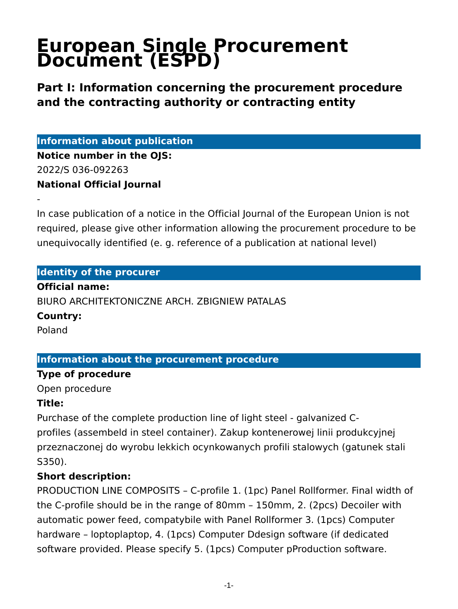# **European Single Procurement Document (ESPD)**

**Part I: Information concerning the procurement procedure and the contracting authority or contracting entity**

**Information about publication**

**Notice number in the OJS:** 2022/S 036-092263 **National Official Journal**

In case publication of a notice in the Official Journal of the European Union is not required, please give other information allowing the procurement procedure to be unequivocally identified (e. g. reference of a publication at national level)

#### **Identity of the procurer**

#### **Official name:**

BIURO ARCHITEKTONICZNE ARCH. ZBIGNIEW PATALAS

#### **Country:**

Poland

-

#### **Information about the procurement procedure**

#### **Type of procedure**

Open procedure

#### **Title:**

Purchase of the complete production line of light steel - galvanized Cprofiles (assembeld in steel container). Zakup kontenerowej linii produkcyjnej przeznaczonej do wyrobu lekkich ocynkowanych profili stalowych (gatunek stali S350).

### **Short description:**

PRODUCTION LINE COMPOSITS – C-profile 1. (1pc) Panel Rollformer. Final width of the C-profile should be in the range of 80mm – 150mm, 2. (2pcs) Decoiler with automatic power feed, compatybile with Panel Rollformer 3. (1pcs) Computer hardware – loptoplaptop, 4. (1pcs) Computer Ddesign software (if dedicated software provided. Please specify 5. (1pcs) Computer pProduction software.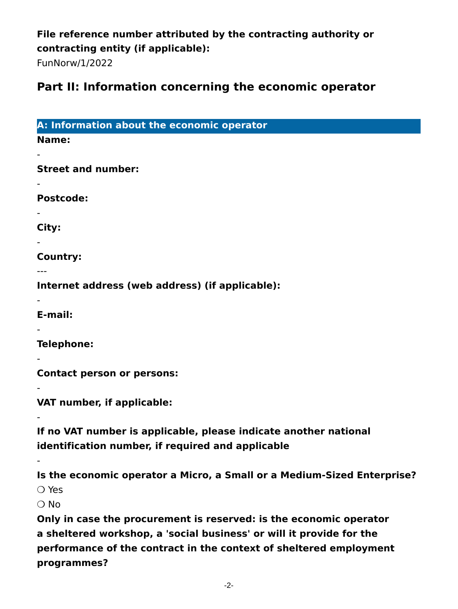### **File reference number attributed by the contracting authority or contracting entity (if applicable):**

FunNorw/1/2022

# **Part II: Information concerning the economic operator**

| A: Information about the economic operator                                                                            |
|-----------------------------------------------------------------------------------------------------------------------|
| <b>Name:</b>                                                                                                          |
| <b>Street and number:</b>                                                                                             |
|                                                                                                                       |
| <b>Postcode:</b>                                                                                                      |
| City:                                                                                                                 |
| Country:                                                                                                              |
|                                                                                                                       |
| Internet address (web address) (if applicable):                                                                       |
| E-mail:                                                                                                               |
| Telephone:                                                                                                            |
| <b>Contact person or persons:</b>                                                                                     |
| VAT number, if applicable:                                                                                            |
| If no VAT number is applicable, please indicate another national<br>identification number, if required and applicable |
| Is the economic operator a Micro, a Small or a Medium-Sized Enterprise?                                               |
| $\bigcirc$ Yes                                                                                                        |
| $\bigcirc$ No                                                                                                         |
| Only in case the procurement is reserved: is the economic operator                                                    |
| a sheltered workshop, a 'social business' or will it provide for the                                                  |

**a sheltered workshop, a 'social business' or will it provide for the performance of the contract in the context of sheltered employment programmes?**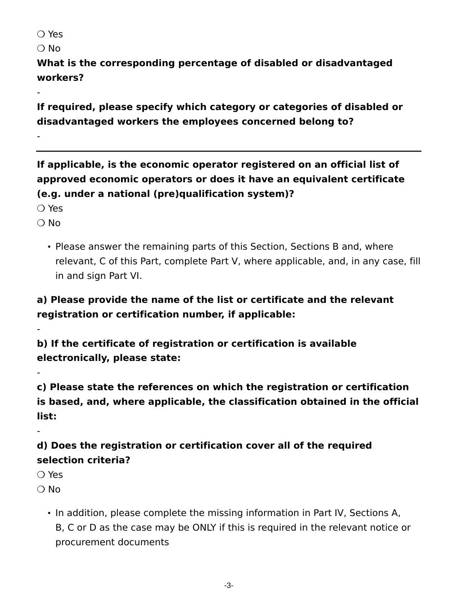❍ Yes

 $\bigcirc$  No

-

-

**What is the corresponding percentage of disabled or disadvantaged workers?**

**If required, please specify which category or categories of disabled or disadvantaged workers the employees concerned belong to?**

**If applicable, is the economic operator registered on an official list of approved economic operators or does it have an equivalent certificate (e.g. under a national (pre)qualification system)?**

❍ Yes

 $\bigcirc$  No

-

-

-

• Please answer the remaining parts of this Section, Sections B and, where relevant, C of this Part, complete Part V, where applicable, and, in any case, fill in and sign Part VI.

# **a) Please provide the name of the list or certificate and the relevant registration or certification number, if applicable:**

**b) If the certificate of registration or certification is available electronically, please state:**

**c) Please state the references on which the registration or certification is based, and, where applicable, the classification obtained in the official list:**

**d) Does the registration or certification cover all of the required selection criteria?**

❍ Yes

 $\bigcirc$  No

• In addition, please complete the missing information in Part IV, Sections A, B, C or D as the case may be ONLY if this is required in the relevant notice or procurement documents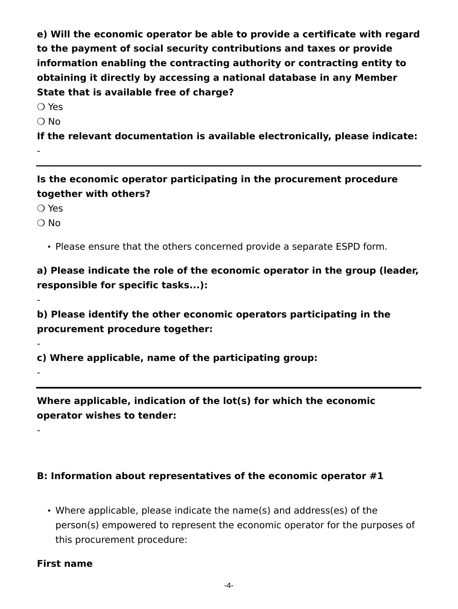**e) Will the economic operator be able to provide a certificate with regard to the payment of social security contributions and taxes or provide information enabling the contracting authority or contracting entity to obtaining it directly by accessing a national database in any Member State that is available free of charge?**

❍ Yes

❍ No

-

**If the relevant documentation is available electronically, please indicate:**

**Is the economic operator participating in the procurement procedure together with others?**

❍ Yes

❍ No

-

-

-

-

• Please ensure that the others concerned provide a separate ESPD form.

**a) Please indicate the role of the economic operator in the group (leader, responsible for specific tasks...):**

**b) Please identify the other economic operators participating in the procurement procedure together:**

**c) Where applicable, name of the participating group:**

**Where applicable, indication of the lot(s) for which the economic operator wishes to tender:**

#### **B: Information about representatives of the economic operator #1**

• Where applicable, please indicate the name(s) and address(es) of the person(s) empowered to represent the economic operator for the purposes of this procurement procedure:

#### **First name**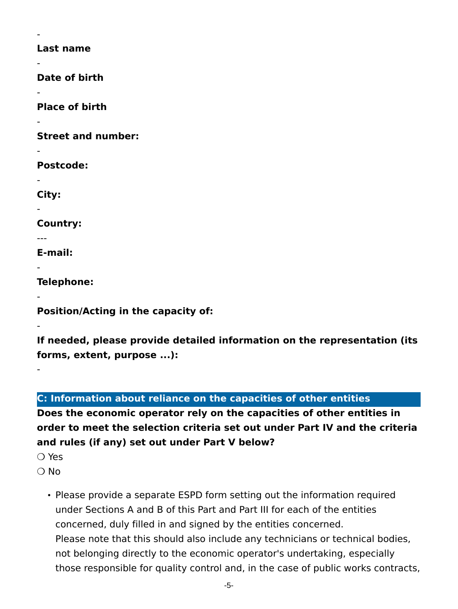**Last name**

-

-

-

-

-

-

-

---

-

-

-

-

**Date of birth**

**Place of birth**

**Street and number:**

**Postcode:**

**City:**

**Country:**

**E-mail:**

**Telephone:**

**Position/Acting in the capacity of:**

**If needed, please provide detailed information on the representation (its forms, extent, purpose ...):**

**C: Information about reliance on the capacities of other entities**

**Does the economic operator rely on the capacities of other entities in order to meet the selection criteria set out under Part IV and the criteria and rules (if any) set out under Part V below?**

- ❍ Yes
- $\bigcap$  No
	- Please provide a separate ESPD form setting out the information required under Sections A and B of this Part and Part III for each of the entities concerned, duly filled in and signed by the entities concerned. Please note that this should also include any technicians or technical bodies, not belonging directly to the economic operator's undertaking, especially those responsible for quality control and, in the case of public works contracts,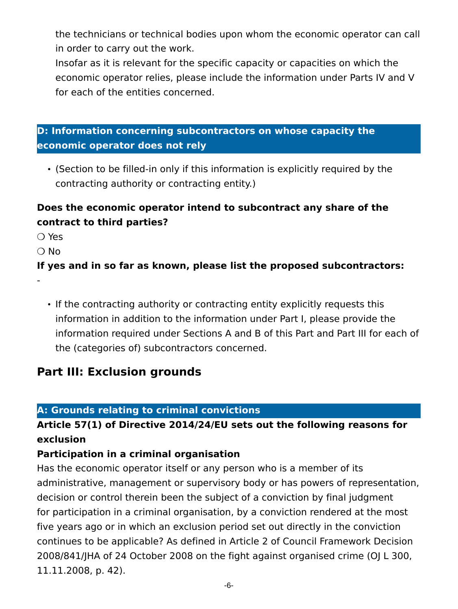the technicians or technical bodies upon whom the economic operator can call in order to carry out the work.

Insofar as it is relevant for the specific capacity or capacities on which the economic operator relies, please include the information under Parts IV and V for each of the entities concerned.

### **D: Information concerning subcontractors on whose capacity the economic operator does not rely**

• (Section to be filled-in only if this information is explicitly required by the contracting authority or contracting entity.)

### **Does the economic operator intend to subcontract any share of the contract to third parties?**

❍ Yes

 $\bigcirc$  No

-

#### **If yes and in so far as known, please list the proposed subcontractors:**

• If the contracting authority or contracting entity explicitly requests this information in addition to the information under Part I, please provide the information required under Sections A and B of this Part and Part III for each of the (categories of) subcontractors concerned.

# **Part III: Exclusion grounds**

#### **A: Grounds relating to criminal convictions**

### **Article 57(1) of Directive 2014/24/EU sets out the following reasons for exclusion**

#### **Participation in a criminal organisation**

Has the economic operator itself or any person who is a member of its administrative, management or supervisory body or has powers of representation, decision or control therein been the subject of a conviction by final judgment for participation in a criminal organisation, by a conviction rendered at the most five years ago or in which an exclusion period set out directly in the conviction continues to be applicable? As defined in Article 2 of Council Framework Decision 2008/841/JHA of 24 October 2008 on the fight against organised crime (OJ L 300, 11.11.2008, p. 42).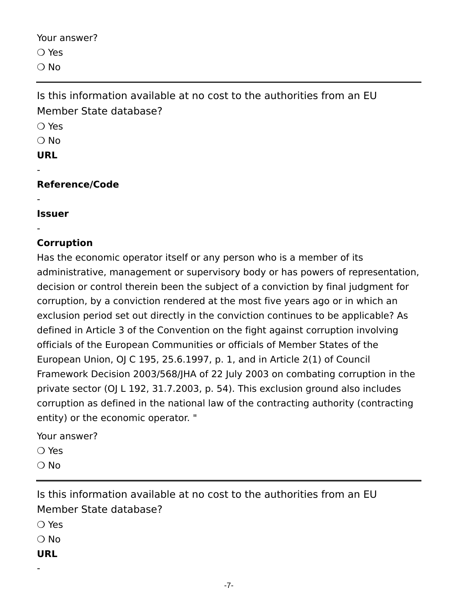Your answer? ❍ Yes  $\bigcirc$  No

Is this information available at no cost to the authorities from an EU Member State database?

❍ Yes  $\bigcirc$  No **URL**

-

-

-

**Reference/Code**

**Issuer**

### **Corruption**

Has the economic operator itself or any person who is a member of its administrative, management or supervisory body or has powers of representation, decision or control therein been the subject of a conviction by final judgment for corruption, by a conviction rendered at the most five years ago or in which an exclusion period set out directly in the conviction continues to be applicable? As defined in Article 3 of the Convention on the fight against corruption involving officials of the European Communities or officials of Member States of the European Union, OJ C 195, 25.6.1997, p. 1, and in Article 2(1) of Council Framework Decision 2003/568/JHA of 22 July 2003 on combating corruption in the private sector (OJ L 192, 31.7.2003, p. 54). This exclusion ground also includes corruption as defined in the national law of the contracting authority (contracting entity) or the economic operator. "

Your answer?

❍ Yes

❍ No

Is this information available at no cost to the authorities from an EU Member State database?

❍ Yes

❍ No

**URL**

-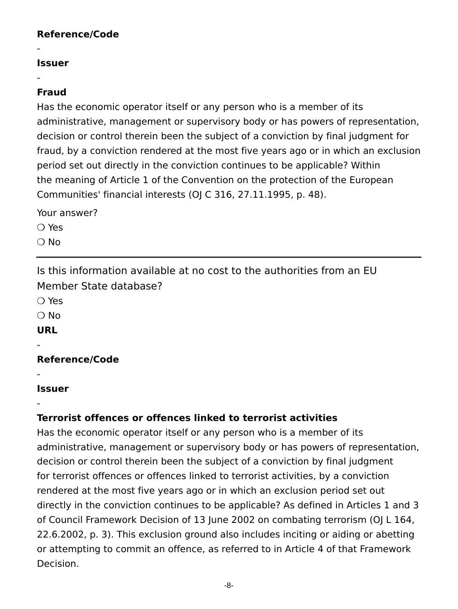#### **Reference/Code**

#### **Issuer**

-

-

#### **Fraud**

Has the economic operator itself or any person who is a member of its administrative, management or supervisory body or has powers of representation, decision or control therein been the subject of a conviction by final judgment for fraud, by a conviction rendered at the most five years ago or in which an exclusion period set out directly in the conviction continues to be applicable? Within the meaning of Article 1 of the Convention on the protection of the European Communities' financial interests (OJ C 316, 27.11.1995, p. 48).

Your answer?

❍ Yes

 $\bigcirc$  No

Is this information available at no cost to the authorities from an EU Member State database?

❍ Yes

❍ No

**URL**

-

-

-

**Reference/Code**

#### **Issuer**

### **Terrorist offences or offences linked to terrorist activities**

Has the economic operator itself or any person who is a member of its administrative, management or supervisory body or has powers of representation, decision or control therein been the subject of a conviction by final judgment for terrorist offences or offences linked to terrorist activities, by a conviction rendered at the most five years ago or in which an exclusion period set out directly in the conviction continues to be applicable? As defined in Articles 1 and 3 of Council Framework Decision of 13 June 2002 on combating terrorism (OJ L 164, 22.6.2002, p. 3). This exclusion ground also includes inciting or aiding or abetting or attempting to commit an offence, as referred to in Article 4 of that Framework Decision.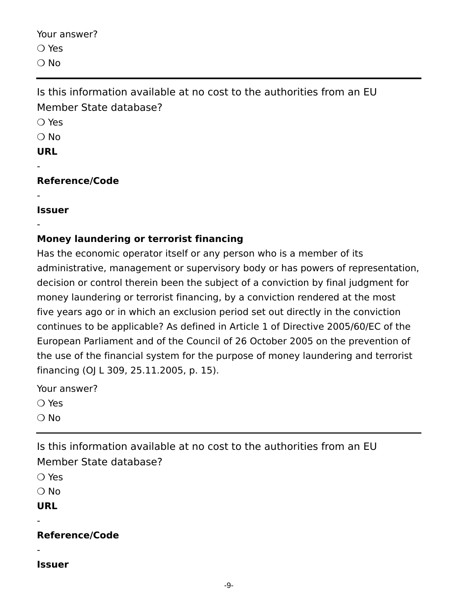Your answer? ❍ Yes  $\bigcirc$  No

Is this information available at no cost to the authorities from an EU Member State database?

❍ Yes

 $\bigcirc$  No

#### **URL**

-

-

-

### **Reference/Code**

**Issuer**

### **Money laundering or terrorist financing**

Has the economic operator itself or any person who is a member of its administrative, management or supervisory body or has powers of representation, decision or control therein been the subject of a conviction by final judgment for money laundering or terrorist financing, by a conviction rendered at the most five years ago or in which an exclusion period set out directly in the conviction continues to be applicable? As defined in Article 1 of Directive 2005/60/EC of the European Parliament and of the Council of 26 October 2005 on the prevention of the use of the financial system for the purpose of money laundering and terrorist financing (OJ L 309, 25.11.2005, p. 15).

Your answer?

❍ Yes

 $\bigcirc$  No

Is this information available at no cost to the authorities from an EU Member State database?

❍ Yes

❍ No

**URL**

-

-

**Reference/Code**

**Issuer**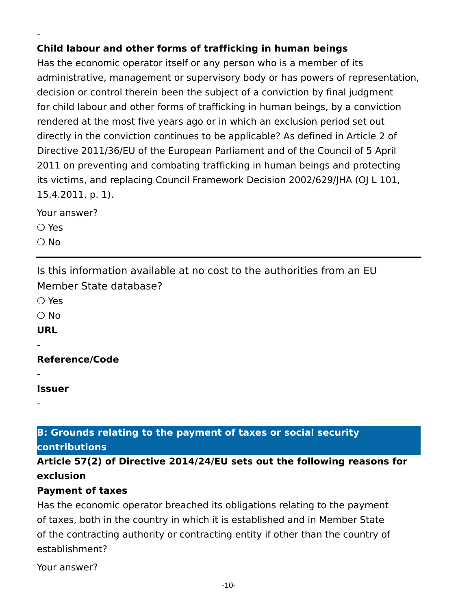### **Child labour and other forms of trafficking in human beings**

Has the economic operator itself or any person who is a member of its administrative, management or supervisory body or has powers of representation, decision or control therein been the subject of a conviction by final judgment for child labour and other forms of trafficking in human beings, by a conviction rendered at the most five years ago or in which an exclusion period set out directly in the conviction continues to be applicable? As defined in Article 2 of Directive 2011/36/EU of the European Parliament and of the Council of 5 April 2011 on preventing and combating trafficking in human beings and protecting its victims, and replacing Council Framework Decision 2002/629/JHA (OJ L 101, 15.4.2011, p. 1).

Your answer?

❍ Yes

-

 $\bigcirc$  No

Is this information available at no cost to the authorities from an EU Member State database?

❍ Yes

 $\bigcirc$  No

**URL**

-

-

-

**Reference/Code**

**Issuer**

#### **B: Grounds relating to the payment of taxes or social security contributions**

### **Article 57(2) of Directive 2014/24/EU sets out the following reasons for exclusion**

#### **Payment of taxes**

Has the economic operator breached its obligations relating to the payment of taxes, both in the country in which it is established and in Member State of the contracting authority or contracting entity if other than the country of establishment?

Your answer?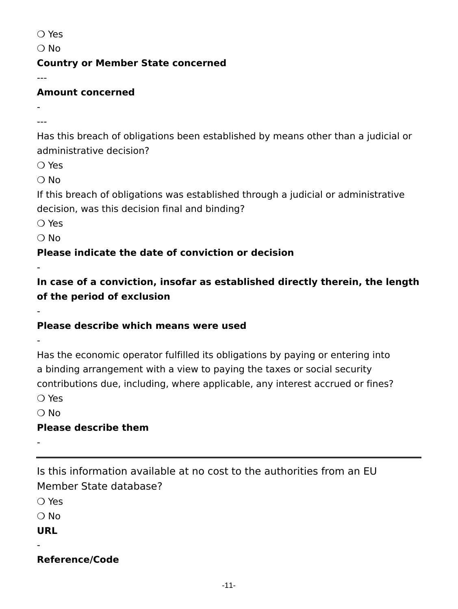❍ Yes

 $\bigcirc$  No

#### **Country or Member State concerned**

---

### **Amount concerned**

- ---

Has this breach of obligations been established by means other than a judicial or administrative decision?

❍ Yes

❍ No

If this breach of obligations was established through a judicial or administrative decision, was this decision final and binding?

❍ Yes

❍ No

-

-

-

**Please indicate the date of conviction or decision**

**In case of a conviction, insofar as established directly therein, the length of the period of exclusion**

### **Please describe which means were used**

Has the economic operator fulfilled its obligations by paying or entering into a binding arrangement with a view to paying the taxes or social security contributions due, including, where applicable, any interest accrued or fines? ❍ Yes

 $\bigcirc$  No

### **Please describe them**

-

Is this information available at no cost to the authorities from an EU Member State database?

❍ Yes

❍ No

**URL**

-

### **Reference/Code**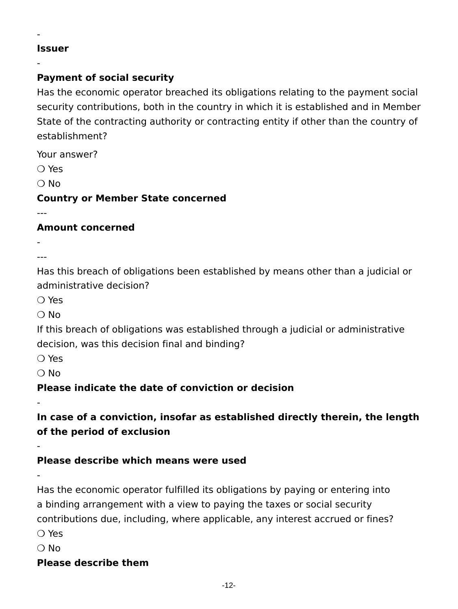#### **Issuer**

-

-

### **Payment of social security**

Has the economic operator breached its obligations relating to the payment social security contributions, both in the country in which it is established and in Member State of the contracting authority or contracting entity if other than the country of establishment?

Your answer?

❍ Yes

 $\bigcirc$  No

**Country or Member State concerned**

---

#### **Amount concerned**

- ---

Has this breach of obligations been established by means other than a judicial or administrative decision?

❍ Yes

 $\bigcirc$  No

If this breach of obligations was established through a judicial or administrative decision, was this decision final and binding?

❍ Yes

❍ No

-

-

-

### **Please indicate the date of conviction or decision**

**In case of a conviction, insofar as established directly therein, the length of the period of exclusion**

#### **Please describe which means were used**

Has the economic operator fulfilled its obligations by paying or entering into a binding arrangement with a view to paying the taxes or social security contributions due, including, where applicable, any interest accrued or fines?

❍ Yes

 $\bigcirc$  No

### **Please describe them**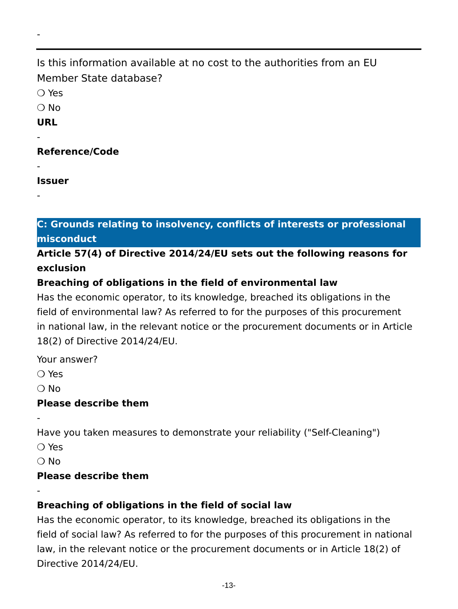# Is this information available at no cost to the authorities from an EU Member State database?

❍ Yes

-

❍ No

**URL**

-

-

-

### **Reference/Code**

**Issuer**

**C: Grounds relating to insolvency, conflicts of interests or professional misconduct**

### **Article 57(4) of Directive 2014/24/EU sets out the following reasons for exclusion**

### **Breaching of obligations in the field of environmental law**

Has the economic operator, to its knowledge, breached its obligations in the field of environmental law? As referred to for the purposes of this procurement in national law, in the relevant notice or the procurement documents or in Article 18(2) of Directive 2014/24/EU.

Your answer?

❍ Yes

❍ No

-

-

### **Please describe them**

Have you taken measures to demonstrate your reliability ("Self-Cleaning")

❍ Yes

❍ No

### **Please describe them**

### **Breaching of obligations in the field of social law**

Has the economic operator, to its knowledge, breached its obligations in the field of social law? As referred to for the purposes of this procurement in national law, in the relevant notice or the procurement documents or in Article 18(2) of Directive 2014/24/EU.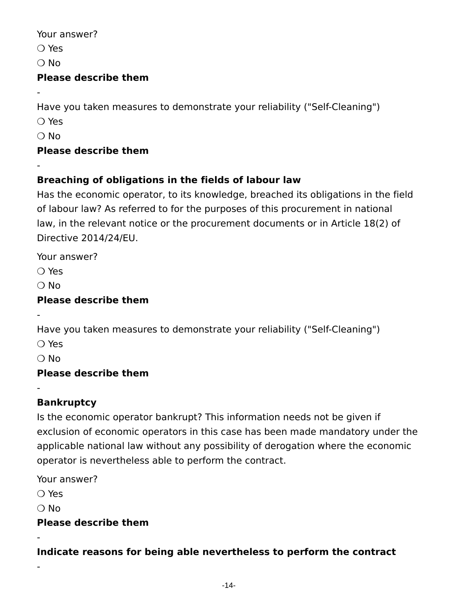Your answer?

❍ Yes

 $\bigcirc$  No

-

-

### **Please describe them**

Have you taken measures to demonstrate your reliability ("Self-Cleaning")

❍ Yes

❍ No

# **Please describe them**

# **Breaching of obligations in the fields of labour law**

Has the economic operator, to its knowledge, breached its obligations in the field of labour law? As referred to for the purposes of this procurement in national law, in the relevant notice or the procurement documents or in Article 18(2) of Directive 2014/24/EU.

Your answer?

❍ Yes

 $\bigcirc$  No

# **Please describe them**

Have you taken measures to demonstrate your reliability ("Self-Cleaning")

❍ Yes

-

-

❍ No

# **Please describe them**

# **Bankruptcy**

Is the economic operator bankrupt? This information needs not be given if exclusion of economic operators in this case has been made mandatory under the applicable national law without any possibility of derogation where the economic operator is nevertheless able to perform the contract.

Your answer?

❍ Yes

 $\bigcirc$  No

-

-

# **Please describe them**

**Indicate reasons for being able nevertheless to perform the contract**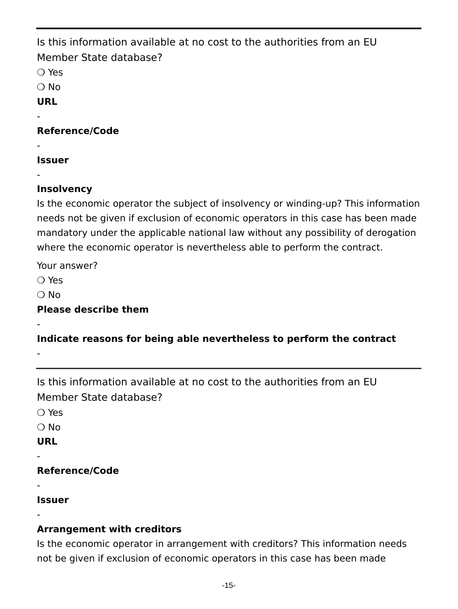Is this information available at no cost to the authorities from an EU Member State database? ❍ Yes ❍ No **URL** - **Reference/Code**

**Issuer**

-

-

### **Insolvency**

Is the economic operator the subject of insolvency or winding-up? This information needs not be given if exclusion of economic operators in this case has been made mandatory under the applicable national law without any possibility of derogation where the economic operator is nevertheless able to perform the contract.

Your answer?

❍ Yes

 $\bigcirc$  No

-

-

**Please describe them**

**Indicate reasons for being able nevertheless to perform the contract**

Is this information available at no cost to the authorities from an EU Member State database?

❍ Yes

❍ No

**URL**

-

-

-

**Reference/Code**

**Issuer**

### **Arrangement with creditors**

Is the economic operator in arrangement with creditors? This information needs not be given if exclusion of economic operators in this case has been made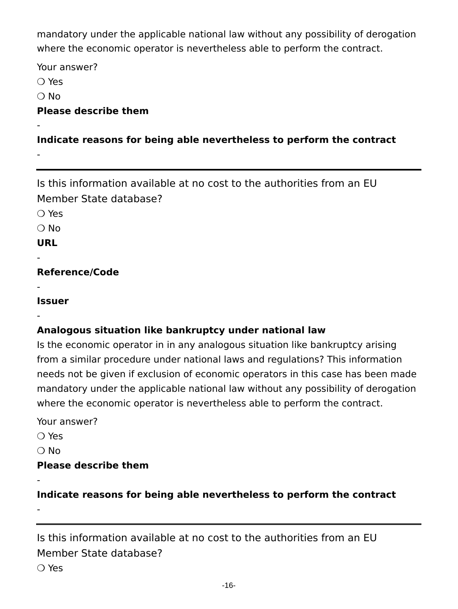mandatory under the applicable national law without any possibility of derogation where the economic operator is nevertheless able to perform the contract.

Your answer?

❍ Yes

❍ No

-

-

#### **Please describe them**

#### **Indicate reasons for being able nevertheless to perform the contract**

Is this information available at no cost to the authorities from an EU Member State database?

❍ Yes

❍ No

**URL**

-

-

-

**Reference/Code**

**Issuer**

### **Analogous situation like bankruptcy under national law**

Is the economic operator in in any analogous situation like bankruptcy arising from a similar procedure under national laws and regulations? This information needs not be given if exclusion of economic operators in this case has been made mandatory under the applicable national law without any possibility of derogation where the economic operator is nevertheless able to perform the contract.

Your answer?

❍ Yes

 $\bigcirc$  No

-

-

#### **Please describe them**

**Indicate reasons for being able nevertheless to perform the contract**

Is this information available at no cost to the authorities from an EU Member State database?

❍ Yes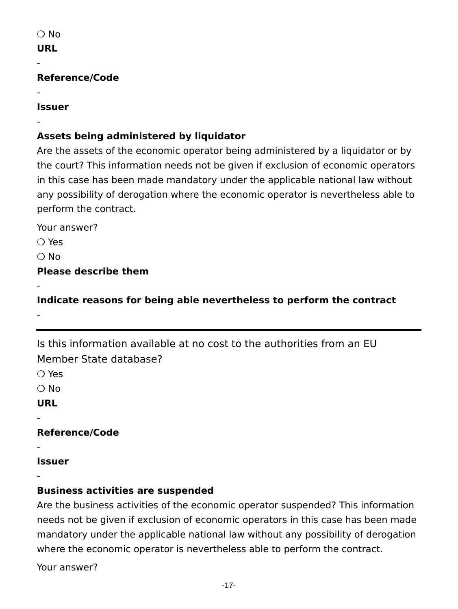-

-

-

#### **Reference/Code**

#### **Issuer**

### **Assets being administered by liquidator**

Are the assets of the economic operator being administered by a liquidator or by the court? This information needs not be given if exclusion of economic operators in this case has been made mandatory under the applicable national law without any possibility of derogation where the economic operator is nevertheless able to perform the contract.

Your answer?

❍ Yes

 $\bigcirc$  No

-

-

**Please describe them**

**Indicate reasons for being able nevertheless to perform the contract**

Is this information available at no cost to the authorities from an EU Member State database? ❍ Yes ❍ No

**URL**

-

-

-

**Reference/Code**

**Issuer**

#### **Business activities are suspended**

Are the business activities of the economic operator suspended? This information needs not be given if exclusion of economic operators in this case has been made mandatory under the applicable national law without any possibility of derogation where the economic operator is nevertheless able to perform the contract.

Your answer?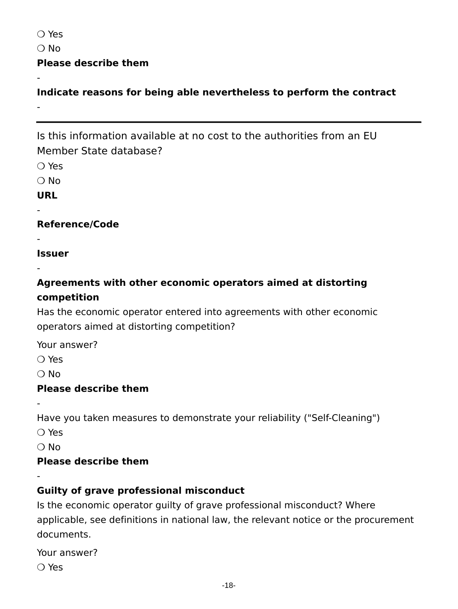❍ Yes

 $\bigcirc$  No

-

-

#### **Please describe them**

**Indicate reasons for being able nevertheless to perform the contract**

Is this information available at no cost to the authorities from an EU Member State database?

❍ Yes

❍ No

#### **URL**

-

-

-

#### **Reference/Code**

**Issuer**

### **Agreements with other economic operators aimed at distorting competition**

Has the economic operator entered into agreements with other economic operators aimed at distorting competition?

Your answer?

❍ Yes

 $\bigcap$  No

-

-

#### **Please describe them**

Have you taken measures to demonstrate your reliability ("Self-Cleaning")

❍ Yes

❍ No

#### **Please describe them**

### **Guilty of grave professional misconduct**

Is the economic operator guilty of grave professional misconduct? Where applicable, see definitions in national law, the relevant notice or the procurement documents.

Your answer? ❍ Yes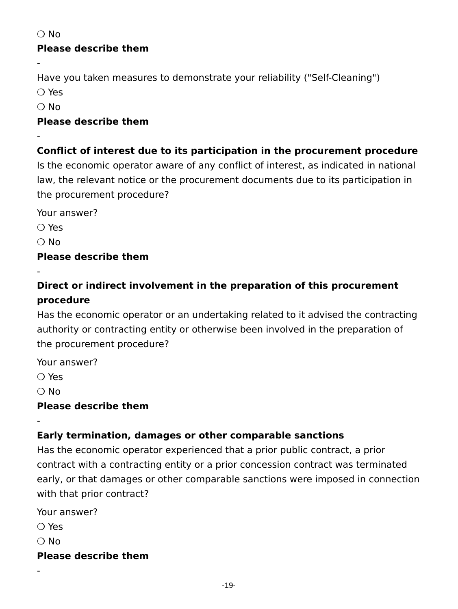❍ No

-

-

### **Please describe them**

Have you taken measures to demonstrate your reliability ("Self-Cleaning")

❍ Yes

❍ No

#### **Please describe them**

### **Conflict of interest due to its participation in the procurement procedure**

Is the economic operator aware of any conflict of interest, as indicated in national law, the relevant notice or the procurement documents due to its participation in the procurement procedure?

Your answer?

❍ Yes

 $\bigcirc$  No

-

### **Please describe them**

# **Direct or indirect involvement in the preparation of this procurement procedure**

Has the economic operator or an undertaking related to it advised the contracting authority or contracting entity or otherwise been involved in the preparation of the procurement procedure?

Your answer?

❍ Yes

❍ No

-

### **Please describe them**

# **Early termination, damages or other comparable sanctions**

Has the economic operator experienced that a prior public contract, a prior contract with a contracting entity or a prior concession contract was terminated early, or that damages or other comparable sanctions were imposed in connection with that prior contract?

Your answer?

❍ Yes

 $\bigcirc$  No

-

### **Please describe them**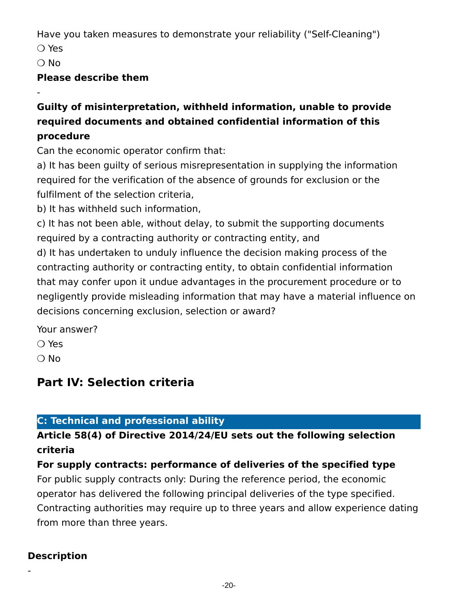Have you taken measures to demonstrate your reliability ("Self-Cleaning")

❍ Yes

❍ No

-

#### **Please describe them**

### **Guilty of misinterpretation, withheld information, unable to provide required documents and obtained confidential information of this procedure**

Can the economic operator confirm that:

a) It has been guilty of serious misrepresentation in supplying the information required for the verification of the absence of grounds for exclusion or the fulfilment of the selection criteria,

b) It has withheld such information,

c) It has not been able, without delay, to submit the supporting documents required by a contracting authority or contracting entity, and d) It has undertaken to unduly influence the decision making process of the contracting authority or contracting entity, to obtain confidential information that may confer upon it undue advantages in the procurement procedure or to negligently provide misleading information that may have a material influence on decisions concerning exclusion, selection or award?

Your answer?

❍ Yes

❍ No

# **Part IV: Selection criteria**

# **C: Technical and professional ability**

## **Article 58(4) of Directive 2014/24/EU sets out the following selection criteria**

**For supply contracts: performance of deliveries of the specified type** For public supply contracts only: During the reference period, the economic operator has delivered the following principal deliveries of the type specified. Contracting authorities may require up to three years and allow experience dating from more than three years.

### **Description**

-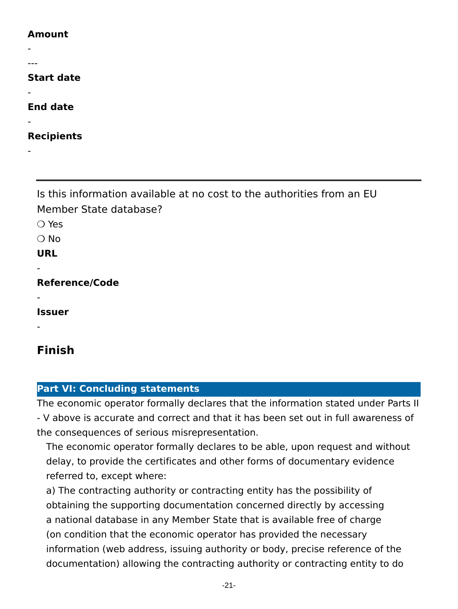#### **Amount**

- ---

#### **Start date**

#### **End date**

-

-

-

**Recipients**

Is this information available at no cost to the authorities from an EU Member State database?

❍ Yes

❍ No

**URL**

-

-

-

**Reference/Code**

**Issuer**

**Finish**

#### **Part VI: Concluding statements**

The economic operator formally declares that the information stated under Parts II - V above is accurate and correct and that it has been set out in full awareness of the consequences of serious misrepresentation.

The economic operator formally declares to be able, upon request and without delay, to provide the certificates and other forms of documentary evidence referred to, except where:

a) The contracting authority or contracting entity has the possibility of obtaining the supporting documentation concerned directly by accessing a national database in any Member State that is available free of charge (on condition that the economic operator has provided the necessary information (web address, issuing authority or body, precise reference of the documentation) allowing the contracting authority or contracting entity to do